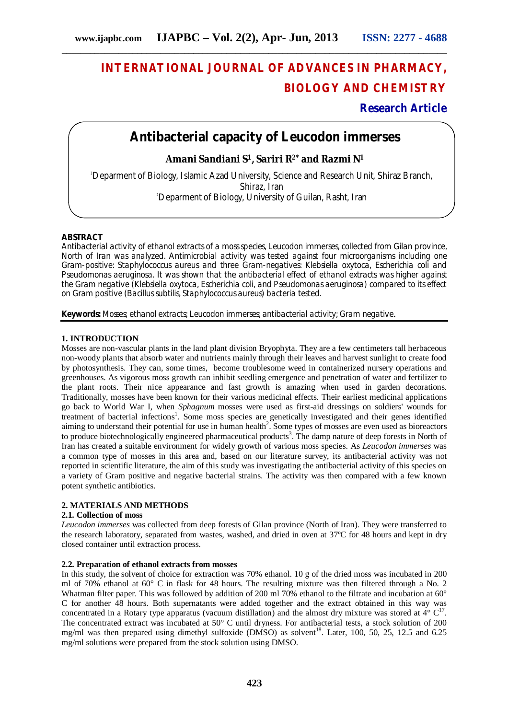# **INTERNATIONAL JOURNAL OF ADVANCES IN PHARMACY, BIOLOGY AND CHEMISTRY**

## **Research Article**

# **Antibacterial capacity of** *Leucodon immerses*

### **Amani Sandiani S1, Sariri R2\* and Razmi N<sup>1</sup>**

<sup>1</sup>Deparment of Biology, Islamic Azad University, Science and Research Unit, Shiraz Branch, Shiraz, Iran 2Deparment of Biology, University of Guilan, Rasht, Iran

#### **ABSTRACT**

Antibacterial activity of ethanol extracts of a moss species, *Leucodon immerses,* collected from Gilan province, North of Iran was analyzed. Antimicrobial activity was tested against four microorganisms including one Gram-positive: *Staphylococcus aureus* and three Gram-negatives: *Klebsiella oxytoca*, *Escherichia coli* and *Pseudomonas aeruginosa*. It was shown that the antibacterial effect of ethanol extracts was higher against the Gram negative (*Klebsiella oxytoca*, *Escherichia coli*, and *Pseudomonas aeruginosa*) compared to its effect on Gram positive (*Bacillus subtilis*, *Staphylococcus aureus*) bacteria tested.

**Keywords:** Mosses; ethanol extracts; *Leucodon immerses*; antibacterial activity; Gram negative.

#### **1. INTRODUCTION**

Mosses are non-vascular plants in the land plant division Bryophyta. They are a few centimeters tall herbaceous non-woody plants that absorb water and nutrients mainly through their leaves and harvest sunlight to create food by photosynthesis. They can, some times, become troublesome weed in containerized nursery operations and greenhouses. As vigorous moss growth can inhibit seedling emergence and penetration of water and fertilizer to the plant roots. Their nice appearance and fast growth is amazing when used in garden decorations. Traditionally, mosses have been known for their various medicinal effects. Their earliest medicinal applications go back to World War I, when *Sphagnum* mosses were used as first-aid dressings on soldiers' wounds for treatment of bacterial infections<sup>1</sup>. Some moss species are genetically investigated and their genes identified aiming to understand their potential for use in human health $2$ . Some types of mosses are even used as bioreactors to produce biotechnologically engineered pharmaceutical products<sup>3</sup>. The damp nature of deep forests in North of Iran has created a suitable environment for widely growth of various moss species. As *Leucodon immerses* was a common type of mosses in this area and, based on our literature survey, its antibacterial activity was not reported in scientific literature, the aim of this study was investigating the antibacterial activity of this species on a variety of Gram positive and negative bacterial strains. The activity was then compared with a few known potent synthetic antibiotics.

#### **2. MATERIALS AND METHODS**

#### **2.1. Collection of moss**

*Leucodon immerses* was collected from deep forests of Gilan province (North of Iran). They were transferred to the research laboratory, separated from wastes, washed, and dried in oven at 37ºC for 48 hours and kept in dry closed container until extraction process.

#### **2.2. Preparation of ethanol extracts from mosses**

In this study, the solvent of choice for extraction was 70% ethanol. 10 g of the dried moss was incubated in 200 ml of 70% ethanol at 60° C in flask for 48 hours. The resulting mixture was then filtered through a No. 2 Whatman filter paper. This was followed by addition of 200 ml 70% ethanol to the filtrate and incubation at 60° C for another 48 hours. Both supernatants were added together and the extract obtained in this way was concentrated in a Rotary type apparatus (vacuum distillation) and the almost dry mixture was stored at  $4^{\circ}$  C<sup>17</sup>. The concentrated extract was incubated at 50° C until dryness. For antibacterial tests, a stock solution of 200 mg/ml was then prepared using dimethyl sulfoxide (DMSO) as solvent<sup>18</sup>. Later, 100, 50, 25, 12.5 and 6.25 mg/ml solutions were prepared from the stock solution using DMSO.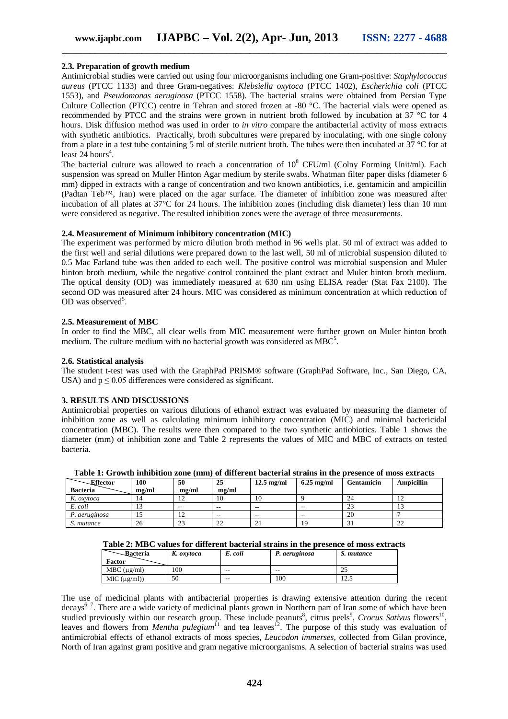#### **2.3. Preparation of growth medium**

Antimicrobial studies were carried out using four microorganisms including one Gram-positive: *Staphylococcus aureus* (PTCC 1133) and three Gram-negatives: *Klebsiella oxytoca* (PTCC 1402), *Escherichia coli* (PTCC 1553), and *Pseudomonas aeruginosa* (PTCC 1558). The bacterial strains were obtained from Persian Type Culture Collection (PTCC) centre in Tehran and stored frozen at -80 °C. The bacterial vials were opened as recommended by PTCC and the strains were grown in nutrient broth followed by incubation at 37 °C for 4 hours. Disk diffusion method was used in order to *in vitro* compare the antibacterial activity of moss extracts with synthetic antibiotics. Practically, broth subcultures were prepared by inoculating, with one single colony from a plate in a test tube containing 5 ml of sterile nutrient broth. The tubes were then incubated at 37 °C for at least  $24$  hours<sup>4</sup>.

The bacterial culture was allowed to reach a concentration of  $10^8$  CFU/ml (Colny Forming Unit/ml). Each suspension was spread on Muller Hinton Agar medium by sterile swabs. Whatman filter paper disks (diameter 6 mm) dipped in extracts with a range of concentration and two known antibiotics, i.e. gentamicin and ampicillin (Padtan Teb™, Iran) were placed on the agar surface. The diameter of inhibition zone was measured after incubation of all plates at 37°C for 24 hours. The inhibition zones (including disk diameter) less than 10 mm were considered as negative. The resulted inhibition zones were the average of three measurements.

#### **2.4. Measurement of Minimum inhibitory concentration (MIC)**

The experiment was performed by micro dilution broth method in 96 wells plat. 50 ml of extract was added to the first well and serial dilutions were prepared down to the last well, 50 ml of microbial suspension diluted to 0.5 Mac Farland tube was then added to each well. The positive control was microbial suspension and Muler hinton broth medium, while the negative control contained the plant extract and Muler hinton broth medium. The optical density (OD) was immediately measured at 630 nm using ELISA reader (Stat Fax 2100). The second OD was measured after 24 hours. MIC was considered as minimum concentration at which reduction of OD was observed<sup>5</sup>.

#### **2.5. Measurement of MBC**

In order to find the MBC, all clear wells from MIC measurement were further grown on Muler hinton broth medium. The culture medium with no bacterial growth was considered as  $MBC^5$ .

#### **2.6. Statistical analysis**

The student t-test was used with the GraphPad PRISM® software (GraphPad Software, Inc., San Diego, CA, USA) and  $p \le 0.05$  differences were considered as significant.

#### **3. RESULTS AND DISCUSSIONS**

Antimicrobial properties on various dilutions of ethanol extract was evaluated by measuring the diameter of inhibition zone as well as calculating minimum inhibitory concentration (MIC) and minimal bactericidal concentration (MBC). The results were then compared to the two synthetic antiobiotics. Table 1 shows the diameter (mm) of inhibition zone and Table 2 represents the values of MIC and MBC of extracts on tested bacteria.

| Effector        | 100   | 50             | 25            | $12.5 \text{ mg/ml}$ | $6.25$ mg/ml | Gentamicin   | <b>Ampicillin</b> |
|-----------------|-------|----------------|---------------|----------------------|--------------|--------------|-------------------|
| <b>Bacteria</b> | me/ml | me/ml          | me/ml         |                      |              |              |                   |
| K. oxytoca      |       | $\overline{1}$ | 10            | 10                   |              | 24           | 14                |
| E. coli         |       | $- -$          | $\sim$ $\sim$ | $\sim$ $\sim$        | $- -$        | $\sim$<br>23 | 10                |
| P. aeruginosa   |       | $\sqrt{2}$     | $- -$         | $- -$                | $- -$        | 20           |                   |
| S. mutance      | 26    | 23             | 22            | ∠⊥                   | 19           | 51           | 22                |

**Table 1: Growth inhibition zone (mm) of different bacterial strains in the presence of moss extracts**

#### **Table 2: MBC values for different bacterial strains in the presence of moss extracts**

| <b>Bacteria</b> | K. oxytoca | E. coli | P. aeruginosa                         | S. mutance |
|-----------------|------------|---------|---------------------------------------|------------|
| Factor          |            |         |                                       |            |
| MBC (µg/ml)     | 100        | $- -$   | $\hspace{0.05cm}$ – $\hspace{0.05cm}$ | າເ<br>ل ک  |
| MIC (µg/ml))    | 50         | $- -$   | 100                                   | ن که 1     |

The use of medicinal plants with antibacterial properties is drawing extensive attention during the recent decays<sup>6, 7</sup>. There are a wide variety of medicinal plants grown in Northern part of Iran some of which have been studied previously within our research group. These include peanuts<sup>8</sup>, citrus peels<sup>9</sup>, Crocus Sativus flowers<sup>10</sup>, leaves and flowers from *Mentha pulegium*<sup>11</sup> and tea leaves<sup>12</sup>. The purpose of this study was evaluation of antimicrobial effects of ethanol extracts of moss species, *Leucodon immerses,* collected from Gilan province, North of Iran against gram positive and gram negative microorganisms. A selection of bacterial strains was used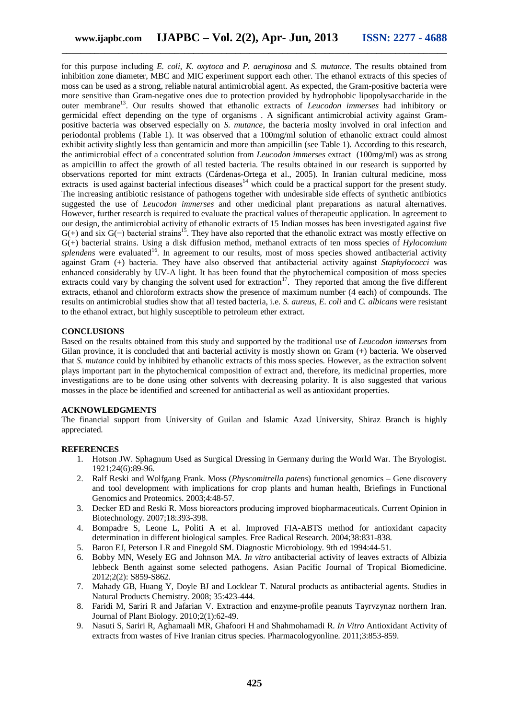for this purpose including *E. coli*, *K. oxytoca* and *P. aeruginosa* and *S. mutance*. The results obtained from inhibition zone diameter, MBC and MIC experiment support each other. The ethanol extracts of this species of moss can be used as a strong, reliable natural antimicrobial agent. As expected, the Gram-positive bacteria were more sensitive than Gram-negative ones due to protection provided by hydrophobic lipopolysaccharide in the outer membrane<sup>13</sup>. Our results showed that ethanolic extracts of *Leucodon immerses* had inhibitory or germicidal effect depending on the type of organisms . A significant antimicrobial activity against Grampositive bacteria was observed especially on *S. mutance*, the bacteria moslty involved in oral infection and periodontal problems (Table 1). It was observed that a 100mg/ml solution of ethanolic extract could almost exhibit activity slightly less than gentamicin and more than ampicillin (see Table 1). According to this research, the antimicrobial effect of a concentrated solution from *Leucodon immerses* extract (100mg/ml) was as strong as ampicillin to affect the growth of all tested bacteria. The results obtained in our research is supported by observations reported for mint extracts (Cárdenas-Ortega et al., 2005). In Iranian cultural medicine, moss extracts is used against bacterial infectious diseases<sup>14</sup> which could be a practical support for the present study. The increasing antibiotic resistance of pathogens together with undesirable side effects of synthetic antibiotics suggested the use of *Leucodon immerses* and other medicinal plant preparations as natural alternatives. However, further research is required to evaluate the practical values of therapeutic application. In agreement to our design, the antimicrobial activity of ethanolic extracts of 15 Indian mosses has been investigated against five  $G(+)$  and six  $G(+)$  bacterial strains<sup>15</sup>. They have also reported that the ethanolic extract was mostly effective on G(+) bacterial strains. Using a disk diffusion method, methanol extracts of ten moss species of *Hylocomium*  splendens were evaluated<sup>16</sup>. In agreement to our results, most of moss species showed antibacterial activity against Gram (+) bacteria. They have also observed that antibacterial activity against *Staphylococci* was enhanced considerably by UV-A light. It has been found that the phytochemical composition of moss species extracts could vary by changing the solvent used for extraction<sup>17</sup>. They reported that among the five different extracts, ethanol and chloroform extracts show the presence of maximum number (4 each) of compounds. The results on antimicrobial studies show that all tested bacteria, i.e. *S. aureus*, *E. coli* and *C. albicans* were resistant to the ethanol extract, but highly susceptible to petroleum ether extract.

#### **CONCLUSIONS**

Based on the results obtained from this study and supported by the traditional use of *Leucodon immerses* from Gilan province, it is concluded that anti bacterial activity is mostly shown on Gram (+) bacteria. We observed that *S. mutance* could by inhibited by ethanolic extracts of this moss species. However, as the extraction solvent plays important part in the phytochemical composition of extract and, therefore, its medicinal properties, more investigations are to be done using other solvents with decreasing polarity. It is also suggested that various mosses in the place be identified and screened for antibacterial as well as antioxidant properties.

#### **ACKNOWLEDGMENTS**

The financial support from University of Guilan and Islamic Azad University, Shiraz Branch is highly appreciated.

#### **REFERENCES**

- 1. Hotson JW. Sphagnum Used as Surgical Dressing in Germany during the World War. The Bryologist. 1921;24(6):89-96.
- 2. Ralf Reski and Wolfgang Frank. Moss (*Physcomitrella patens*) functional genomics Gene discovery and tool development with implications for crop plants and human health, Briefings in Functional Genomics and Proteomics. 2003;4:48-57.
- 3. Decker ED and Reski R. Moss bioreactors producing improved biopharmaceuticals. Current Opinion in Biotechnology. 2007;18:393-398.
- 4. Bompadre S, Leone L, Politi A et al. Improved FIA-ABTS method for antioxidant capacity determination in different biological samples. Free Radical Research. 2004;38:831-838.
- 5. Baron EJ, Peterson LR and Finegold SM. Diagnostic Microbiology. 9th ed 1994:44-51.
- 6. Bobby MN, Wesely EG and Johnson MA. *In vitro* antibacterial activity of leaves extracts of Albizia lebbeck Benth against some selected pathogens. Asian Pacific Journal of Tropical Biomedicine. 2012;2(2): S859-S862.
- 7. Mahady GB, Huang Y, Doyle BJ and Locklear T. Natural products as antibacterial agents. Studies in Natural Products Chemistry. 2008; 35:423-444.
- 8. Faridi M, Sariri R and Jafarian V. Extraction and enzyme-profile peanuts Tayrvzynaz northern Iran. Journal of Plant Biology. 2010;2(1):62-49.
- 9. Nasuti S, Sariri R, Aghamaali MR, Ghafoori H and Shahmohamadi R. *In Vitro* Antioxidant Activity of extracts from wastes of Five Iranian citrus species. Pharmacologyonline. 2011;3:853-859.